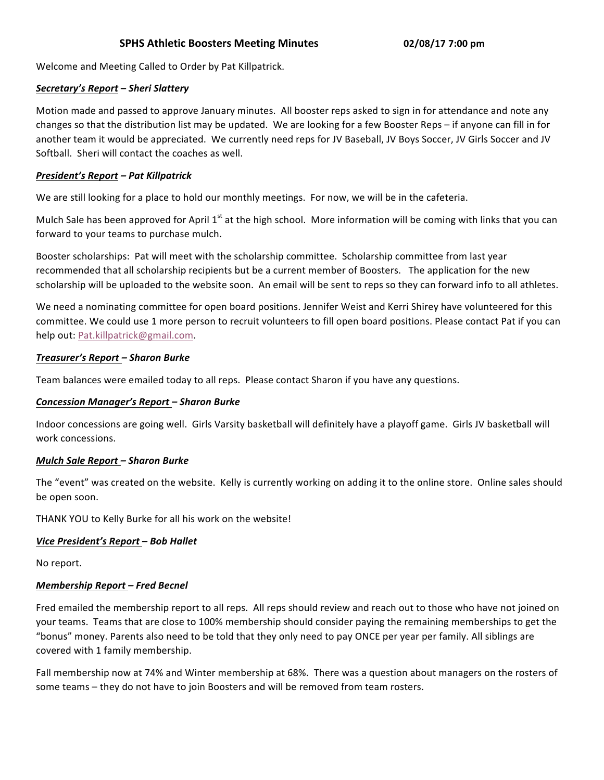# **SPHS Athletic Boosters Meeting Minutes 02/08/17 7:00 pm**

Welcome and Meeting Called to Order by Pat Killpatrick.

### *Secretary's Report – Sheri Slattery*

Motion made and passed to approve January minutes. All booster reps asked to sign in for attendance and note any changes so that the distribution list may be updated. We are looking for a few Booster Reps – if anyone can fill in for another team it would be appreciated. We currently need reps for JV Baseball, JV Boys Soccer, JV Girls Soccer and JV Softball. Sheri will contact the coaches as well.

### *President's Report – Pat Killpatrick*

We are still looking for a place to hold our monthly meetings. For now, we will be in the cafeteria.

Mulch Sale has been approved for April  $1^{st}$  at the high school. More information will be coming with links that you can forward to your teams to purchase mulch.

Booster scholarships: Pat will meet with the scholarship committee. Scholarship committee from last year recommended that all scholarship recipients but be a current member of Boosters. The application for the new scholarship will be uploaded to the website soon. An email will be sent to reps so they can forward info to all athletes.

We need a nominating committee for open board positions. Jennifer Weist and Kerri Shirey have volunteered for this committee. We could use 1 more person to recruit volunteers to fill open board positions. Please contact Pat if you can help out: Pat.killpatrick@gmail.com.

#### *Treasurer's Report – Sharon Burke*

Team balances were emailed today to all reps. Please contact Sharon if you have any questions.

#### *Concession Manager's Report – Sharon Burke*

Indoor concessions are going well. Girls Varsity basketball will definitely have a playoff game. Girls JV basketball will work concessions.

# *Mulch Sale Report – Sharon Burke*

The "event" was created on the website. Kelly is currently working on adding it to the online store. Online sales should be open soon.

THANK YOU to Kelly Burke for all his work on the website!

# *Vice President's Report – Bob Hallet*

No report.

# *Membership Report – Fred Becnel*

Fred emailed the membership report to all reps. All reps should review and reach out to those who have not joined on your teams. Teams that are close to 100% membership should consider paying the remaining memberships to get the "bonus" money. Parents also need to be told that they only need to pay ONCE per year per family. All siblings are covered with 1 family membership.

Fall membership now at 74% and Winter membership at 68%. There was a question about managers on the rosters of some teams - they do not have to join Boosters and will be removed from team rosters.